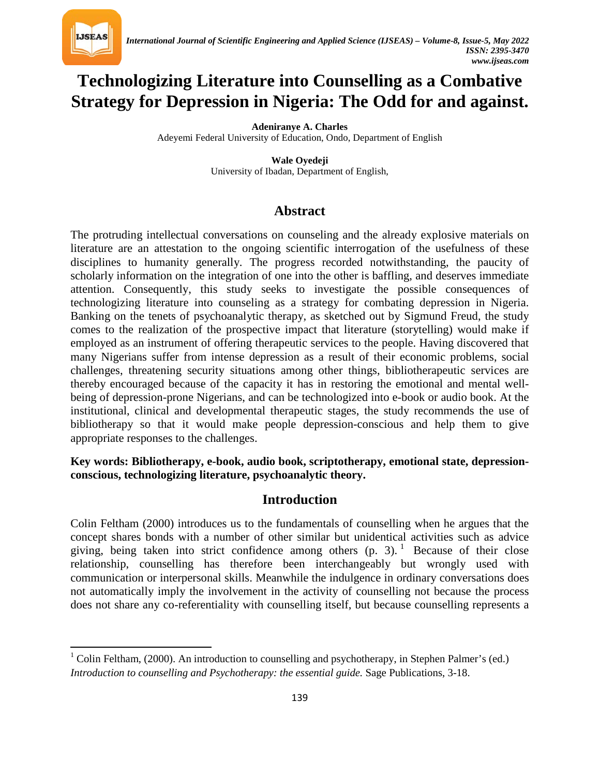

 $\overline{\phantom{a}}$ 

# **Technologizing Literature into Counselling as a Combative Strategy for Depression in Nigeria: The Odd for and against.**

**Adeniranye A. Charles**

Adeyemi Federal University of Education, Ondo, Department of English

**Wale Oyedeji** University of Ibadan, Department of English,

## **Abstract**

The protruding intellectual conversations on counseling and the already explosive materials on literature are an attestation to the ongoing scientific interrogation of the usefulness of these disciplines to humanity generally. The progress recorded notwithstanding, the paucity of scholarly information on the integration of one into the other is baffling, and deserves immediate attention. Consequently, this study seeks to investigate the possible consequences of technologizing literature into counseling as a strategy for combating depression in Nigeria. Banking on the tenets of psychoanalytic therapy, as sketched out by Sigmund Freud, the study comes to the realization of the prospective impact that literature (storytelling) would make if employed as an instrument of offering therapeutic services to the people. Having discovered that many Nigerians suffer from intense depression as a result of their economic problems, social challenges, threatening security situations among other things, bibliotherapeutic services are thereby encouraged because of the capacity it has in restoring the emotional and mental wellbeing of depression-prone Nigerians, and can be technologized into e-book or audio book. At the institutional, clinical and developmental therapeutic stages, the study recommends the use of bibliotherapy so that it would make people depression-conscious and help them to give appropriate responses to the challenges.

**Key words: Bibliotherapy, e-book, audio book, scriptotherapy, emotional state, depressionconscious, technologizing literature, psychoanalytic theory.**

## **Introduction**

Colin Feltham (2000) introduces us to the fundamentals of counselling when he argues that the concept shares bonds with a number of other similar but unidentical activities such as advice giving, being taken into strict confidence among others  $(p, 3)$ . Because of their close relationship, counselling has therefore been interchangeably but wrongly used with communication or interpersonal skills. Meanwhile the indulgence in ordinary conversations does not automatically imply the involvement in the activity of counselling not because the process does not share any co-referentiality with counselling itself, but because counselling represents a

<span id="page-0-0"></span><sup>&</sup>lt;sup>1</sup> Colin Feltham, (2000). An introduction to counselling and psychotherapy, in Stephen Palmer's (ed.) *Introduction to counselling and Psychotherapy: the essential guide.* Sage Publications, 3-18.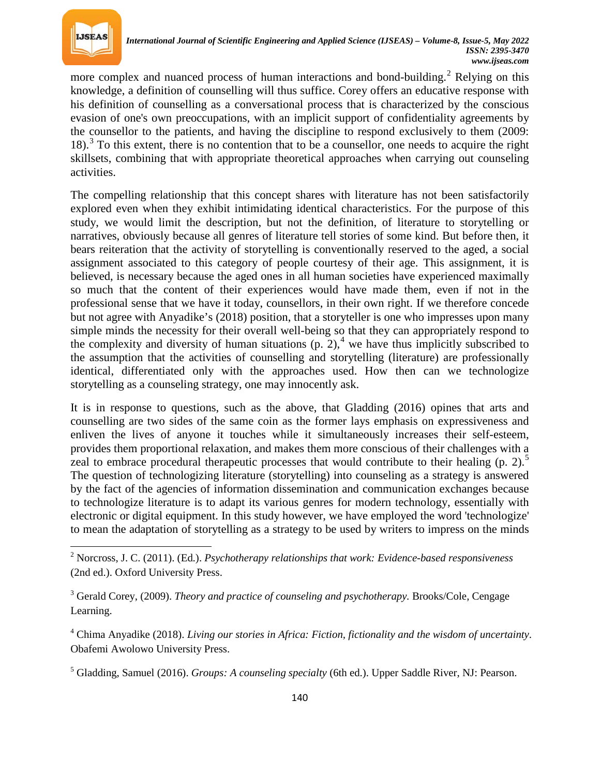

 $\overline{\phantom{a}}$ 

more complex and nuanced process of human interactions and bond-building.<sup>[2](#page-1-0)</sup> Relying on this knowledge, a definition of counselling will thus suffice. Corey offers an educative response with his definition of counselling as a conversational process that is characterized by the conscious evasion of one's own preoccupations, with an implicit support of confidentiality agreements by the counsellor to the patients, and having the discipline to respond exclusively to them (2009: 18).<sup>[3](#page-1-1)</sup> To this extent, there is no contention that to be a counsellor, one needs to acquire the right skillsets, combining that with appropriate theoretical approaches when carrying out counseling activities.

The compelling relationship that this concept shares with literature has not been satisfactorily explored even when they exhibit intimidating identical characteristics. For the purpose of this study, we would limit the description, but not the definition, of literature to storytelling or narratives, obviously because all genres of literature tell stories of some kind. But before then, it bears reiteration that the activity of storytelling is conventionally reserved to the aged, a social assignment associated to this category of people courtesy of their age. This assignment, it is believed, is necessary because the aged ones in all human societies have experienced maximally so much that the content of their experiences would have made them, even if not in the professional sense that we have it today, counsellors, in their own right. If we therefore concede but not agree with Anyadike's (2018) position, that a storyteller is one who impresses upon many simple minds the necessity for their overall well-being so that they can appropriately respond to the complexity and diversity of human situations  $(p, 2)$ ,<sup>[4](#page-1-2)</sup> we have thus implicitly subscribed to the assumption that the activities of counselling and storytelling (literature) are professionally identical, differentiated only with the approaches used. How then can we technologize storytelling as a counseling strategy, one may innocently ask.

It is in response to questions, such as the above, that Gladding (2016) opines that arts and counselling are two sides of the same coin as the former lays emphasis on expressiveness and enliven the lives of anyone it touches while it simultaneously increases their self-esteem, provides them proportional relaxation, and makes them more conscious of their challenges with a zeal to embrace procedural therapeutic processes that would contribute to their healing  $(p, 2)$ .<sup>[5](#page-1-3)</sup> The question of technologizing literature (storytelling) into counseling as a strategy is answered by the fact of the agencies of information dissemination and communication exchanges because to technologize literature is to adapt its various genres for modern technology, essentially with electronic or digital equipment. In this study however, we have employed the word 'technologize' to mean the adaptation of storytelling as a strategy to be used by writers to impress on the minds

<span id="page-1-0"></span><sup>2</sup> Norcross, J. C. (2011). (Ed.). *Psychotherapy relationships that work: Evidence-based responsiveness* (2nd ed.). Oxford University Press.

<span id="page-1-1"></span><sup>&</sup>lt;sup>3</sup> Gerald Corey, (2009). *Theory and practice of counseling and psychotherapy*. Brooks/Cole, Cengage Learning.

<span id="page-1-2"></span><sup>4</sup> Chima Anyadike (2018). *Living our stories in Africa: Fiction, fictionality and the wisdom of uncertainty*. Obafemi Awolowo University Press.

<span id="page-1-3"></span><sup>5</sup> Gladding, Samuel (2016). *Groups: A counseling specialty* (6th ed.). Upper Saddle River, NJ: Pearson.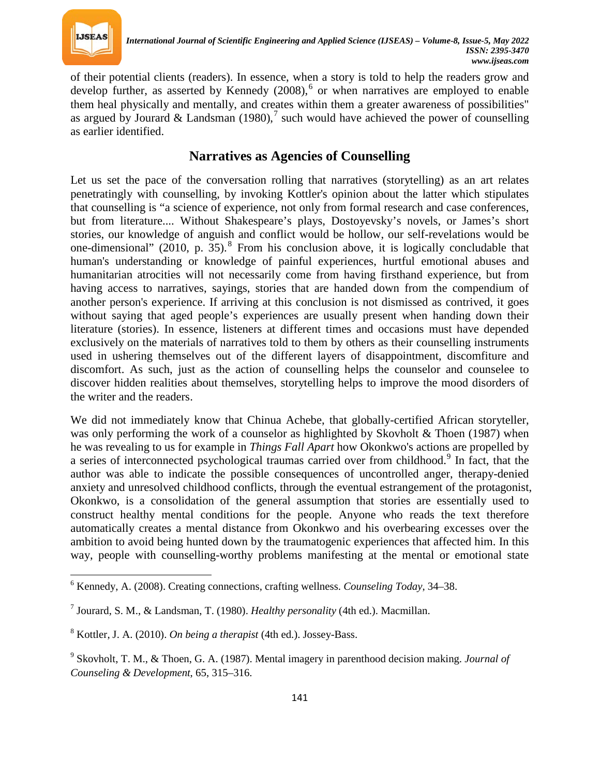

 $\overline{\phantom{a}}$ 

of their potential clients (readers). In essence, when a story is told to help the readers grow and develop further, as asserted by Kennedy  $(2008)$ , or when narratives are employed to enable them heal physically and mentally, and creates within them a greater awareness of possibilities" as argued by Jourard & Landsman (1980),<sup>[7](#page-2-1)</sup> such would have achieved the power of counselling as earlier identified.

## **Narratives as Agencies of Counselling**

Let us set the pace of the conversation rolling that narratives (storytelling) as an art relates penetratingly with counselling, by invoking Kottler's opinion about the latter which stipulates that counselling is "a science of experience, not only from formal research and case conferences, but from literature.... Without Shakespeare's plays, Dostoyevsky's novels, or James's short stories, our knowledge of anguish and conflict would be hollow, our self-revelations would be one-dimensional" (2010, p.  $35$ ).<sup>[8](#page-2-2)</sup> From his conclusion above, it is logically concludable that human's understanding or knowledge of painful experiences, hurtful emotional abuses and humanitarian atrocities will not necessarily come from having firsthand experience, but from having access to narratives, sayings, stories that are handed down from the compendium of another person's experience. If arriving at this conclusion is not dismissed as contrived, it goes without saying that aged people's experiences are usually present when handing down their literature (stories). In essence, listeners at different times and occasions must have depended exclusively on the materials of narratives told to them by others as their counselling instruments used in ushering themselves out of the different layers of disappointment, discomfiture and discomfort. As such, just as the action of counselling helps the counselor and counselee to discover hidden realities about themselves, storytelling helps to improve the mood disorders of the writer and the readers.

We did not immediately know that Chinua Achebe, that globally-certified African storyteller, was only performing the work of a counselor as highlighted by Skovholt  $\&$  Thoen (1987) when he was revealing to us for example in *Things Fall Apart* how Okonkwo's actions are propelled by a series of interconnected psychological traumas carried over from childhood.<sup>[9](#page-2-3)</sup> In fact, that the author was able to indicate the possible consequences of uncontrolled anger, therapy-denied anxiety and unresolved childhood conflicts, through the eventual estrangement of the protagonist, Okonkwo, is a consolidation of the general assumption that stories are essentially used to construct healthy mental conditions for the people. Anyone who reads the text therefore automatically creates a mental distance from Okonkwo and his overbearing excesses over the ambition to avoid being hunted down by the traumatogenic experiences that affected him. In this way, people with counselling-worthy problems manifesting at the mental or emotional state

<span id="page-2-0"></span><sup>6</sup> Kennedy, A. (2008). Creating connections, crafting wellness. *Counseling Today*, 34–38.

<span id="page-2-1"></span><sup>7</sup> Jourard, S. M., & Landsman, T. (1980). *Healthy personality* (4th ed.). Macmillan.

<span id="page-2-2"></span><sup>8</sup> Kottler, J. A. (2010). *On being a therapist* (4th ed.). Jossey-Bass.

<span id="page-2-3"></span><sup>9</sup> Skovholt, T. M., & Thoen, G. A. (1987). Mental imagery in parenthood decision making. *Journal of Counseling & Development*, 65, 315–316.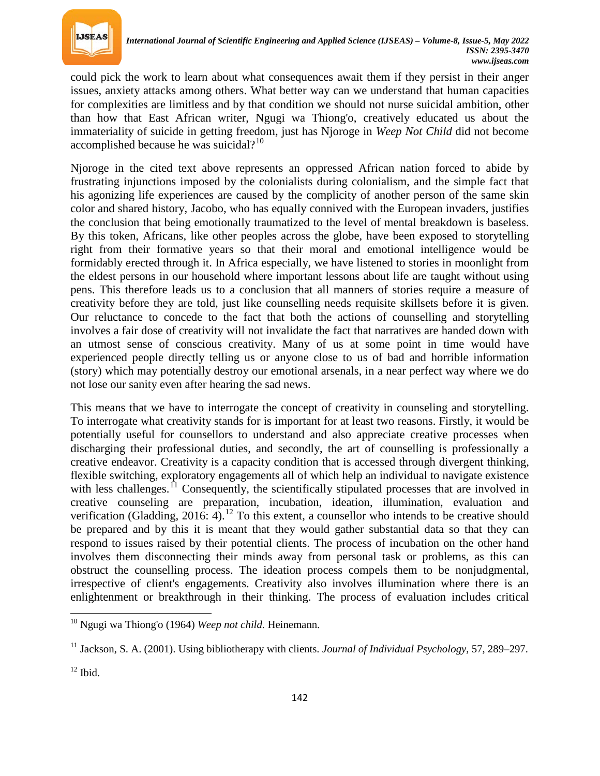

could pick the work to learn about what consequences await them if they persist in their anger issues, anxiety attacks among others. What better way can we understand that human capacities for complexities are limitless and by that condition we should not nurse suicidal ambition, other than how that East African writer, Ngugi wa Thiong'o, creatively educated us about the immateriality of suicide in getting freedom, just has Njoroge in *Weep Not Child* did not become accomplished because he was suicidal? $10$ 

Njoroge in the cited text above represents an oppressed African nation forced to abide by frustrating injunctions imposed by the colonialists during colonialism, and the simple fact that his agonizing life experiences are caused by the complicity of another person of the same skin color and shared history, Jacobo, who has equally connived with the European invaders, justifies the conclusion that being emotionally traumatized to the level of mental breakdown is baseless. By this token, Africans, like other peoples across the globe, have been exposed to storytelling right from their formative years so that their moral and emotional intelligence would be formidably erected through it. In Africa especially, we have listened to stories in moonlight from the eldest persons in our household where important lessons about life are taught without using pens. This therefore leads us to a conclusion that all manners of stories require a measure of creativity before they are told, just like counselling needs requisite skillsets before it is given. Our reluctance to concede to the fact that both the actions of counselling and storytelling involves a fair dose of creativity will not invalidate the fact that narratives are handed down with an utmost sense of conscious creativity. Many of us at some point in time would have experienced people directly telling us or anyone close to us of bad and horrible information (story) which may potentially destroy our emotional arsenals, in a near perfect way where we do not lose our sanity even after hearing the sad news.

This means that we have to interrogate the concept of creativity in counseling and storytelling. To interrogate what creativity stands for is important for at least two reasons. Firstly, it would be potentially useful for counsellors to understand and also appreciate creative processes when discharging their professional duties, and secondly, the art of counselling is professionally a creative endeavor. Creativity is a capacity condition that is accessed through divergent thinking, flexible switching, exploratory engagements all of which help an individual to navigate existence with less challenges.<sup>[11](#page-3-1)</sup> Consequently, the scientifically stipulated processes that are involved in creative counseling are preparation, incubation, ideation, illumination, evaluation and verification (Gladding, 2016: 4).<sup>[12](#page-3-2)</sup> To this extent, a counsellor who intends to be creative should be prepared and by this it is meant that they would gather substantial data so that they can respond to issues raised by their potential clients. The process of incubation on the other hand involves them disconnecting their minds away from personal task or problems, as this can obstruct the counselling process. The ideation process compels them to be nonjudgmental, irrespective of client's engagements. Creativity also involves illumination where there is an enlightenment or breakthrough in their thinking. The process of evaluation includes critical

 $\overline{\phantom{a}}$ 

<span id="page-3-0"></span><sup>10</sup> Ngugi wa Thiong'o (1964) *Weep not child.* Heinemann.

<span id="page-3-1"></span><sup>11</sup> Jackson, S. A. (2001). Using bibliotherapy with clients. *Journal of Individual Psychology*, 57, 289–297.

<span id="page-3-2"></span> $12$  Ibid.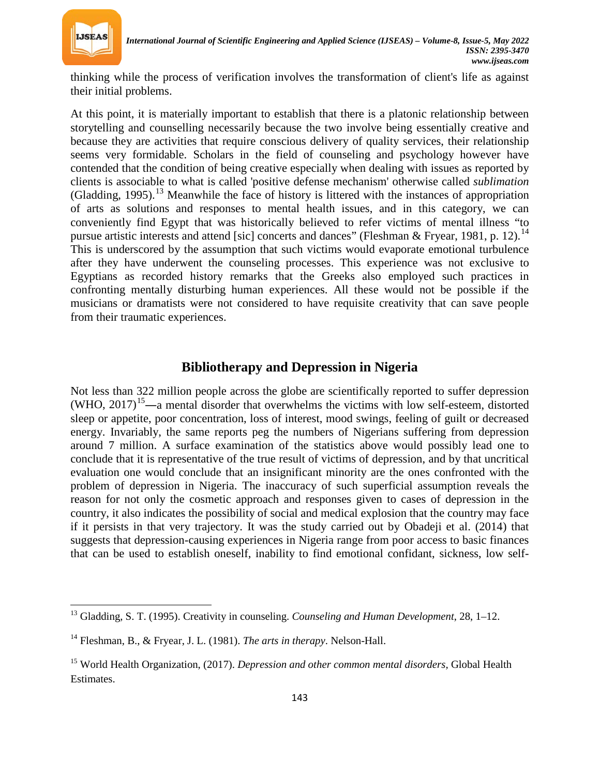

l

thinking while the process of verification involves the transformation of client's life as against their initial problems.

At this point, it is materially important to establish that there is a platonic relationship between storytelling and counselling necessarily because the two involve being essentially creative and because they are activities that require conscious delivery of quality services, their relationship seems very formidable. Scholars in the field of counseling and psychology however have contended that the condition of being creative especially when dealing with issues as reported by clients is associable to what is called 'positive defense mechanism' otherwise called *sublimation* (Gladding, 1995).<sup>[13](#page-4-0)</sup> Meanwhile the face of history is littered with the instances of appropriation of arts as solutions and responses to mental health issues, and in this category, we can conveniently find Egypt that was historically believed to refer victims of mental illness "to pursue artistic interests and attend [sic] concerts and dances" (Fleshman & Fryear, 1981, p. 12).<sup>[14](#page-4-1)</sup> This is underscored by the assumption that such victims would evaporate emotional turbulence after they have underwent the counseling processes. This experience was not exclusive to Egyptians as recorded history remarks that the Greeks also employed such practices in confronting mentally disturbing human experiences. All these would not be possible if the musicians or dramatists were not considered to have requisite creativity that can save people from their traumatic experiences.

### **Bibliotherapy and Depression in Nigeria**

Not less than 322 million people across the globe are scientifically reported to suffer depression  $(WHO, 2017)^{15}$  $(WHO, 2017)^{15}$  $(WHO, 2017)^{15}$ —a mental disorder that overwhelms the victims with low self-esteem, distorted sleep or appetite, poor concentration, loss of interest, mood swings, feeling of guilt or decreased energy. Invariably, the same reports peg the numbers of Nigerians suffering from depression around 7 million. A surface examination of the statistics above would possibly lead one to conclude that it is representative of the true result of victims of depression, and by that uncritical evaluation one would conclude that an insignificant minority are the ones confronted with the problem of depression in Nigeria. The inaccuracy of such superficial assumption reveals the reason for not only the cosmetic approach and responses given to cases of depression in the country, it also indicates the possibility of social and medical explosion that the country may face if it persists in that very trajectory. It was the study carried out by Obadeji et al. (2014) that suggests that depression-causing experiences in Nigeria range from poor access to basic finances that can be used to establish oneself, inability to find emotional confidant, sickness, low self-

<span id="page-4-0"></span><sup>13</sup> Gladding, S. T. (1995). Creativity in counseling. *Counseling and Human Development*, 28, 1–12.

<span id="page-4-1"></span><sup>14</sup> Fleshman, B., & Fryear, J. L. (1981). *The arts in therapy*. Nelson-Hall.

<span id="page-4-2"></span><sup>15</sup> World Health Organization, (2017). *Depression and other common mental disorders,* Global Health Estimates.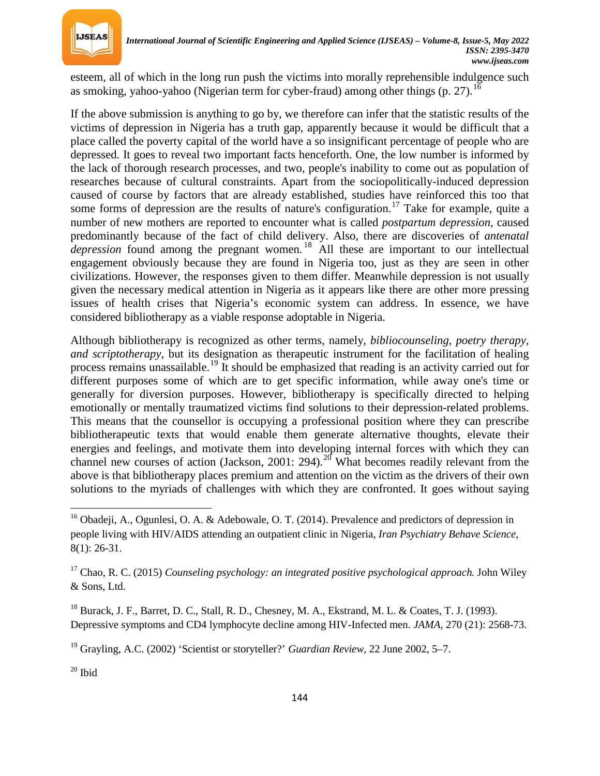

esteem, all of which in the long run push the victims into morally reprehensible indulgence such as smoking, vahoo-yahoo (Nigerian term for cyber-fraud) among other things (p. 27).<sup>[16](#page-5-0)</sup>

If the above submission is anything to go by, we therefore can infer that the statistic results of the victims of depression in Nigeria has a truth gap, apparently because it would be difficult that a place called the poverty capital of the world have a so insignificant percentage of people who are depressed. It goes to reveal two important facts henceforth. One, the low number is informed by the lack of thorough research processes, and two, people's inability to come out as population of researches because of cultural constraints. Apart from the sociopolitically-induced depression caused of course by factors that are already established, studies have reinforced this too that some forms of depression are the results of nature's configuration.<sup>[17](#page-5-1)</sup> Take for example, quite a number of new mothers are reported to encounter what is called *postpartum depression*, caused predominantly because of the fact of child delivery. Also, there are discoveries of *antenatal depression* found among the pregnant women.<sup>[18](#page-5-2)</sup> All these are important to our intellectual engagement obviously because they are found in Nigeria too, just as they are seen in other civilizations. However, the responses given to them differ. Meanwhile depression is not usually given the necessary medical attention in Nigeria as it appears like there are other more pressing issues of health crises that Nigeria's economic system can address. In essence, we have considered bibliotherapy as a viable response adoptable in Nigeria.

Although bibliotherapy is recognized as other terms, namely, *bibliocounseling, poetry therapy, and scriptotherapy*, but its designation as therapeutic instrument for the facilitation of healing process remains unassailable.[19](#page-5-3) It should be emphasized that reading is an activity carried out for different purposes some of which are to get specific information, while away one's time or generally for diversion purposes. However, bibliotherapy is specifically directed to helping emotionally or mentally traumatized victims find solutions to their depression-related problems. This means that the counsellor is occupying a professional position where they can prescribe bibliotherapeutic texts that would enable them generate alternative thoughts, elevate their energies and feelings, and motivate them into developing internal forces with which they can channel new courses of action (Jackson, [20](#page-5-4)01: 294).<sup>20</sup> What becomes readily relevant from the above is that bibliotherapy places premium and attention on the victim as the drivers of their own solutions to the myriads of challenges with which they are confronted. It goes without saying

<span id="page-5-3"></span><sup>19</sup> Grayling, A.C. (2002) 'Scientist or storyteller?' *Guardian Review,* 22 June 2002, 5–7.

<span id="page-5-4"></span> $20$  Ibid

 $\overline{\phantom{a}}$ 

<span id="page-5-0"></span><sup>&</sup>lt;sup>16</sup> Obadeji, A., Ogunlesi, O. A. & Adebowale, O. T. (2014). Prevalence and predictors of depression in people living with HIV/AIDS attending an outpatient clinic in Nigeria, *Iran Psychiatry Behave Science*, 8(1): 26-31.

<span id="page-5-1"></span><sup>17</sup> Chao, R. C. (2015) *Counseling psychology: an integrated positive psychological approach.* John Wiley & Sons, Ltd.

<span id="page-5-2"></span><sup>&</sup>lt;sup>18</sup> Burack, J. F., Barret, D. C., Stall, R. D., Chesney, M. A., Ekstrand, M. L. & Coates, T. J. (1993). Depressive symptoms and CD4 lymphocyte decline among HIV-Infected men. *JAMA,* 270 (21): 2568-73.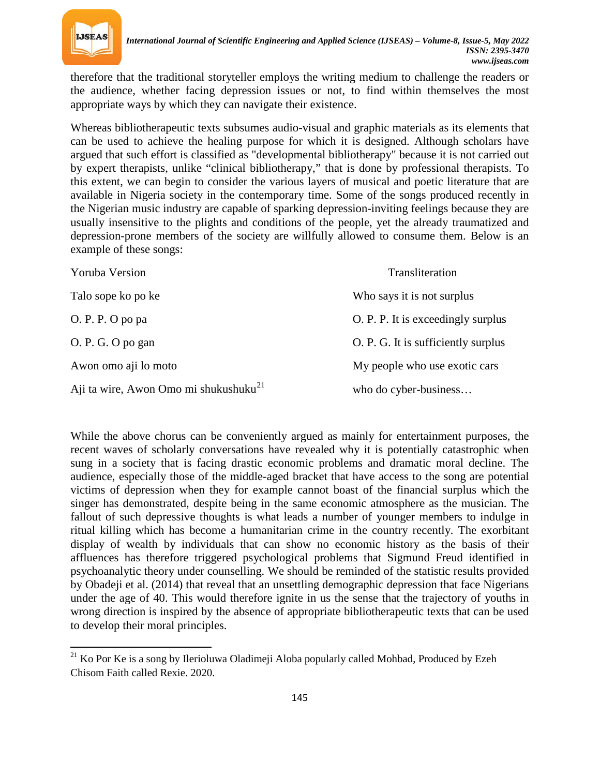

therefore that the traditional storyteller employs the writing medium to challenge the readers or the audience, whether facing depression issues or not, to find within themselves the most appropriate ways by which they can navigate their existence.

Whereas bibliotherapeutic texts subsumes audio-visual and graphic materials as its elements that can be used to achieve the healing purpose for which it is designed. Although scholars have argued that such effort is classified as "developmental bibliotherapy" because it is not carried out by expert therapists, unlike "clinical bibliotherapy," that is done by professional therapists. To this extent, we can begin to consider the various layers of musical and poetic literature that are available in Nigeria society in the contemporary time. Some of the songs produced recently in the Nigerian music industry are capable of sparking depression-inviting feelings because they are usually insensitive to the plights and conditions of the people, yet the already traumatized and depression-prone members of the society are willfully allowed to consume them. Below is an example of these songs:

| Yoruba Version                                    | Transliteration                     |
|---------------------------------------------------|-------------------------------------|
| Talo sope ko po ke                                | Who says it is not surplus          |
| O. P. P. O po pa                                  | O. P. P. It is exceedingly surplus  |
| O. P. G. O po gan                                 | O. P. G. It is sufficiently surplus |
| Awon omo aji lo moto                              | My people who use exotic cars       |
| Aji ta wire, Awon Omo mi shukushuku <sup>21</sup> | who do cyber-business               |

While the above chorus can be conveniently argued as mainly for entertainment purposes, the recent waves of scholarly conversations have revealed why it is potentially catastrophic when sung in a society that is facing drastic economic problems and dramatic moral decline. The audience, especially those of the middle-aged bracket that have access to the song are potential victims of depression when they for example cannot boast of the financial surplus which the singer has demonstrated, despite being in the same economic atmosphere as the musician. The fallout of such depressive thoughts is what leads a number of younger members to indulge in ritual killing which has become a humanitarian crime in the country recently. The exorbitant display of wealth by individuals that can show no economic history as the basis of their affluences has therefore triggered psychological problems that Sigmund Freud identified in psychoanalytic theory under counselling. We should be reminded of the statistic results provided by Obadeji et al. (2014) that reveal that an unsettling demographic depression that face Nigerians under the age of 40. This would therefore ignite in us the sense that the trajectory of youths in wrong direction is inspired by the absence of appropriate bibliotherapeutic texts that can be used to develop their moral principles.

<span id="page-6-0"></span> $^{21}$  Ko Por Ke is a song by Ilerioluwa Oladimeji Aloba popularly called Mohbad, Produced by Ezeh Chisom Faith called Rexie. 2020.  $\overline{\phantom{a}}$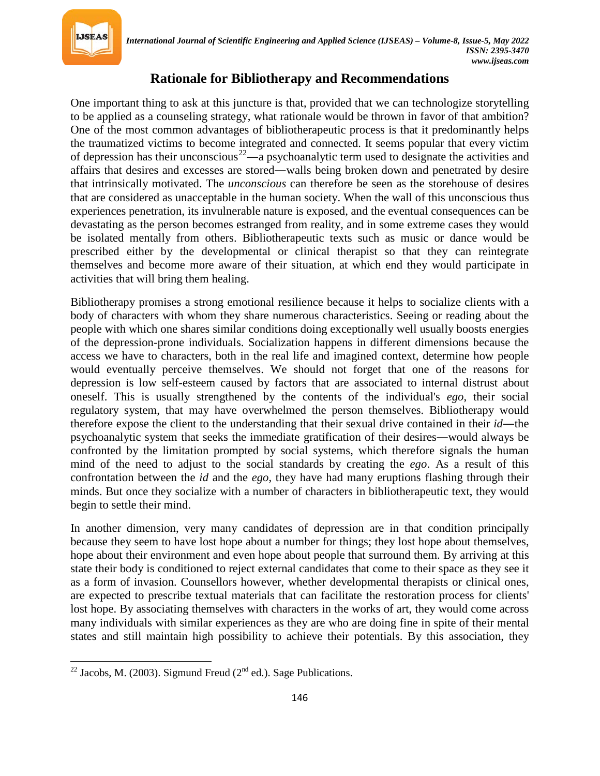

## **Rationale for Bibliotherapy and Recommendations**

One important thing to ask at this juncture is that, provided that we can technologize storytelling to be applied as a counseling strategy, what rationale would be thrown in favor of that ambition? One of the most common advantages of bibliotherapeutic process is that it predominantly helps the traumatized victims to become integrated and connected. It seems popular that every victim of depression has their unconscious<sup>[22](#page-7-0)</sup>—a psychoanalytic term used to designate the activities and affairs that desires and excesses are stored―walls being broken down and penetrated by desire that intrinsically motivated. The *unconscious* can therefore be seen as the storehouse of desires that are considered as unacceptable in the human society. When the wall of this unconscious thus experiences penetration, its invulnerable nature is exposed, and the eventual consequences can be devastating as the person becomes estranged from reality, and in some extreme cases they would be isolated mentally from others. Bibliotherapeutic texts such as music or dance would be prescribed either by the developmental or clinical therapist so that they can reintegrate themselves and become more aware of their situation, at which end they would participate in activities that will bring them healing.

Bibliotherapy promises a strong emotional resilience because it helps to socialize clients with a body of characters with whom they share numerous characteristics. Seeing or reading about the people with which one shares similar conditions doing exceptionally well usually boosts energies of the depression-prone individuals. Socialization happens in different dimensions because the access we have to characters, both in the real life and imagined context, determine how people would eventually perceive themselves. We should not forget that one of the reasons for depression is low self-esteem caused by factors that are associated to internal distrust about oneself. This is usually strengthened by the contents of the individual's *ego*, their social regulatory system, that may have overwhelmed the person themselves. Bibliotherapy would therefore expose the client to the understanding that their sexual drive contained in their *id*―the psychoanalytic system that seeks the immediate gratification of their desires―would always be confronted by the limitation prompted by social systems, which therefore signals the human mind of the need to adjust to the social standards by creating the *ego*. As a result of this confrontation between the *id* and the *ego*, they have had many eruptions flashing through their minds. But once they socialize with a number of characters in bibliotherapeutic text, they would begin to settle their mind.

In another dimension, very many candidates of depression are in that condition principally because they seem to have lost hope about a number for things; they lost hope about themselves, hope about their environment and even hope about people that surround them. By arriving at this state their body is conditioned to reject external candidates that come to their space as they see it as a form of invasion. Counsellors however, whether developmental therapists or clinical ones, are expected to prescribe textual materials that can facilitate the restoration process for clients' lost hope. By associating themselves with characters in the works of art, they would come across many individuals with similar experiences as they are who are doing fine in spite of their mental states and still maintain high possibility to achieve their potentials. By this association, they

 $\overline{\phantom{a}}$ 

<span id="page-7-0"></span><sup>&</sup>lt;sup>22</sup> Jacobs, M. (2003). Sigmund Freud ( $2<sup>nd</sup>$  ed.). Sage Publications.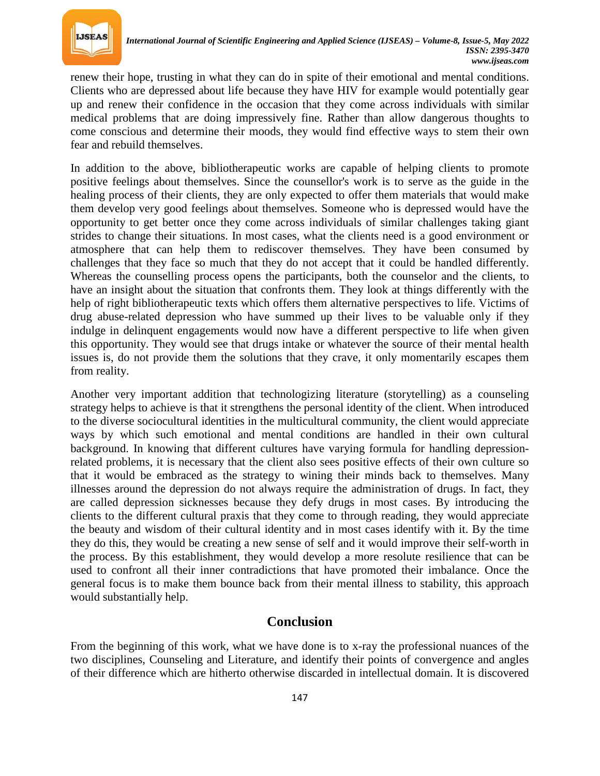

renew their hope, trusting in what they can do in spite of their emotional and mental conditions. Clients who are depressed about life because they have HIV for example would potentially gear up and renew their confidence in the occasion that they come across individuals with similar medical problems that are doing impressively fine. Rather than allow dangerous thoughts to come conscious and determine their moods, they would find effective ways to stem their own fear and rebuild themselves.

In addition to the above, bibliotherapeutic works are capable of helping clients to promote positive feelings about themselves. Since the counsellor's work is to serve as the guide in the healing process of their clients, they are only expected to offer them materials that would make them develop very good feelings about themselves. Someone who is depressed would have the opportunity to get better once they come across individuals of similar challenges taking giant strides to change their situations. In most cases, what the clients need is a good environment or atmosphere that can help them to rediscover themselves. They have been consumed by challenges that they face so much that they do not accept that it could be handled differently. Whereas the counselling process opens the participants, both the counselor and the clients, to have an insight about the situation that confronts them. They look at things differently with the help of right bibliotherapeutic texts which offers them alternative perspectives to life. Victims of drug abuse-related depression who have summed up their lives to be valuable only if they indulge in delinquent engagements would now have a different perspective to life when given this opportunity. They would see that drugs intake or whatever the source of their mental health issues is, do not provide them the solutions that they crave, it only momentarily escapes them from reality.

Another very important addition that technologizing literature (storytelling) as a counseling strategy helps to achieve is that it strengthens the personal identity of the client. When introduced to the diverse sociocultural identities in the multicultural community, the client would appreciate ways by which such emotional and mental conditions are handled in their own cultural background. In knowing that different cultures have varying formula for handling depressionrelated problems, it is necessary that the client also sees positive effects of their own culture so that it would be embraced as the strategy to wining their minds back to themselves. Many illnesses around the depression do not always require the administration of drugs. In fact, they are called depression sicknesses because they defy drugs in most cases. By introducing the clients to the different cultural praxis that they come to through reading, they would appreciate the beauty and wisdom of their cultural identity and in most cases identify with it. By the time they do this, they would be creating a new sense of self and it would improve their self-worth in the process. By this establishment, they would develop a more resolute resilience that can be used to confront all their inner contradictions that have promoted their imbalance. Once the general focus is to make them bounce back from their mental illness to stability, this approach would substantially help.

## **Conclusion**

From the beginning of this work, what we have done is to x-ray the professional nuances of the two disciplines, Counseling and Literature, and identify their points of convergence and angles of their difference which are hitherto otherwise discarded in intellectual domain. It is discovered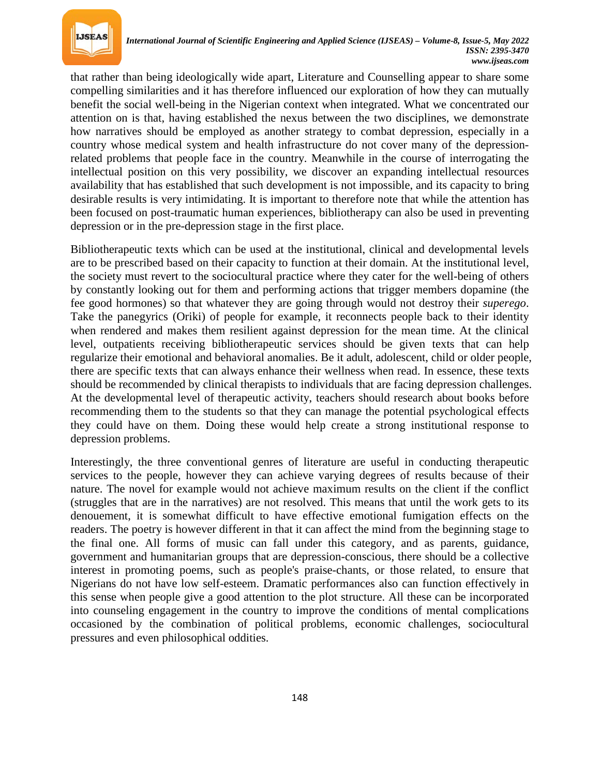

that rather than being ideologically wide apart, Literature and Counselling appear to share some compelling similarities and it has therefore influenced our exploration of how they can mutually benefit the social well-being in the Nigerian context when integrated. What we concentrated our attention on is that, having established the nexus between the two disciplines, we demonstrate how narratives should be employed as another strategy to combat depression, especially in a country whose medical system and health infrastructure do not cover many of the depressionrelated problems that people face in the country. Meanwhile in the course of interrogating the intellectual position on this very possibility, we discover an expanding intellectual resources availability that has established that such development is not impossible, and its capacity to bring desirable results is very intimidating. It is important to therefore note that while the attention has been focused on post-traumatic human experiences, bibliotherapy can also be used in preventing depression or in the pre-depression stage in the first place.

Bibliotherapeutic texts which can be used at the institutional, clinical and developmental levels are to be prescribed based on their capacity to function at their domain. At the institutional level, the society must revert to the sociocultural practice where they cater for the well-being of others by constantly looking out for them and performing actions that trigger members dopamine (the fee good hormones) so that whatever they are going through would not destroy their *superego*. Take the panegyrics (Oriki) of people for example, it reconnects people back to their identity when rendered and makes them resilient against depression for the mean time. At the clinical level, outpatients receiving bibliotherapeutic services should be given texts that can help regularize their emotional and behavioral anomalies. Be it adult, adolescent, child or older people, there are specific texts that can always enhance their wellness when read. In essence, these texts should be recommended by clinical therapists to individuals that are facing depression challenges. At the developmental level of therapeutic activity, teachers should research about books before recommending them to the students so that they can manage the potential psychological effects they could have on them. Doing these would help create a strong institutional response to depression problems.

Interestingly, the three conventional genres of literature are useful in conducting therapeutic services to the people, however they can achieve varying degrees of results because of their nature. The novel for example would not achieve maximum results on the client if the conflict (struggles that are in the narratives) are not resolved. This means that until the work gets to its denouement, it is somewhat difficult to have effective emotional fumigation effects on the readers. The poetry is however different in that it can affect the mind from the beginning stage to the final one. All forms of music can fall under this category, and as parents, guidance, government and humanitarian groups that are depression-conscious, there should be a collective interest in promoting poems, such as people's praise-chants, or those related, to ensure that Nigerians do not have low self-esteem. Dramatic performances also can function effectively in this sense when people give a good attention to the plot structure. All these can be incorporated into counseling engagement in the country to improve the conditions of mental complications occasioned by the combination of political problems, economic challenges, sociocultural pressures and even philosophical oddities.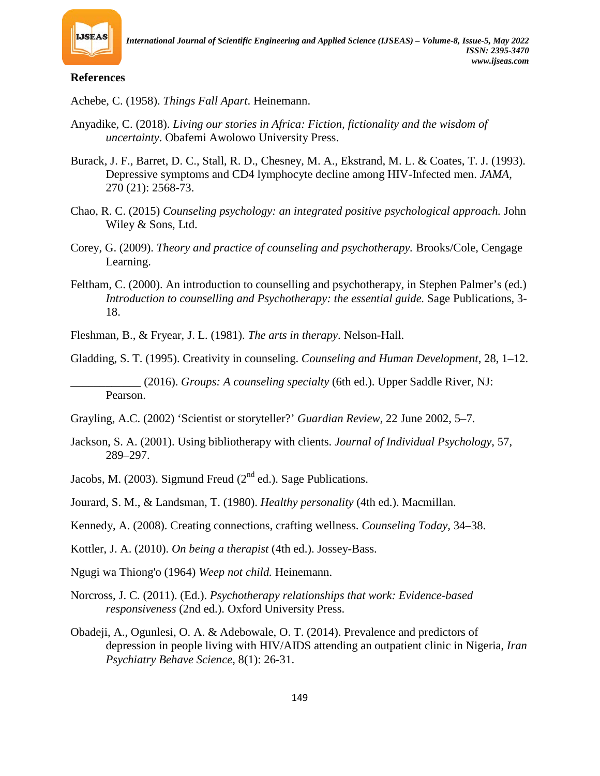

#### **References**

Achebe, C. (1958). *Things Fall Apart*. Heinemann.

- Anyadike, C. (2018). *Living our stories in Africa: Fiction, fictionality and the wisdom of uncertainty*. Obafemi Awolowo University Press.
- Burack, J. F., Barret, D. C., Stall, R. D., Chesney, M. A., Ekstrand, M. L. & Coates, T. J. (1993). Depressive symptoms and CD4 lymphocyte decline among HIV-Infected men. *JAMA,*  270 (21): 2568-73.
- Chao, R. C. (2015) *Counseling psychology: an integrated positive psychological approach.* John Wiley & Sons, Ltd.
- Corey, G. (2009). *Theory and practice of counseling and psychotherapy.* Brooks/Cole, Cengage Learning.
- Feltham, C. (2000). An introduction to counselling and psychotherapy, in Stephen Palmer's (ed.) *Introduction to counselling and Psychotherapy: the essential guide.* Sage Publications, 3- 18.

Fleshman, B., & Fryear, J. L. (1981). *The arts in therapy*. Nelson-Hall.

Gladding, S. T. (1995). Creativity in counseling. *Counseling and Human Development*, 28, 1–12.

\_\_\_\_\_\_\_\_\_\_\_\_ (2016). *Groups: A counseling specialty* (6th ed.). Upper Saddle River, NJ: Pearson.

- Grayling, A.C. (2002) 'Scientist or storyteller?' *Guardian Review,* 22 June 2002, 5–7.
- Jackson, S. A. (2001). Using bibliotherapy with clients. *Journal of Individual Psychology*, 57, 289–297.
- Jacobs, M. (2003). Sigmund Freud ( $2<sup>nd</sup>$  ed.). Sage Publications.

Jourard, S. M., & Landsman, T. (1980). *Healthy personality* (4th ed.). Macmillan.

- Kennedy, A. (2008). Creating connections, crafting wellness. *Counseling Today*, 34–38.
- Kottler, J. A. (2010). *On being a therapist* (4th ed.). Jossey-Bass.
- Ngugi wa Thiong'o (1964) *Weep not child.* Heinemann.
- Norcross, J. C. (2011). (Ed.). *Psychotherapy relationships that work: Evidence-based responsiveness* (2nd ed.). Oxford University Press.
- Obadeji, A., Ogunlesi, O. A. & Adebowale, O. T. (2014). Prevalence and predictors of depression in people living with HIV/AIDS attending an outpatient clinic in Nigeria, *Iran Psychiatry Behave Science*, 8(1): 26-31.